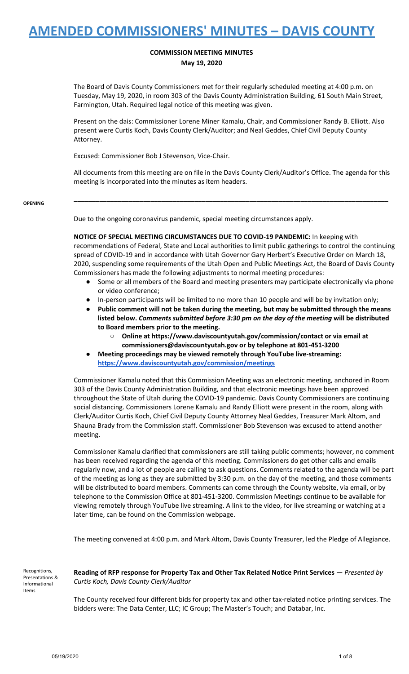### **COMMISSION MEETING MINUTES May 19, 2020**

The Board of Davis County Commissioners met for their regularly scheduled meeting at 4:00 p.m. on Tuesday, May 19, 2020, in room 303 of the Davis County Administration Building, 61 South Main Street, Farmington, Utah. Required legal notice of this meeting was given.

Present on the dais: Commissioner Lorene Miner Kamalu, Chair, and Commissioner Randy B. Elliott. Also present were Curtis Koch, Davis County Clerk/Auditor; and Neal Geddes, Chief Civil Deputy County Attorney.

Excused: Commissioner Bob J Stevenson, Vice-Chair.

All documents from this meeting are on file in the Davis County Clerk/Auditor's Office. The agenda for this meeting is incorporated into the minutes as item headers.

**\_\_\_\_\_\_\_\_\_\_\_\_\_\_\_\_\_\_\_\_\_\_\_\_\_\_\_\_\_\_\_\_\_\_\_\_\_\_\_\_\_\_\_\_\_\_\_\_\_\_\_\_\_\_\_\_\_\_\_\_\_\_\_\_\_\_\_\_\_\_\_\_\_\_\_\_\_\_\_\_\_\_\_\_\_\_**

**OPENING**

Due to the ongoing coronavirus pandemic, special meeting circumstances apply.

**NOTICE OF SPECIAL MEETING CIRCUMSTANCES DUE TO COVID-19 PANDEMIC:** In keeping with recommendations of Federal, State and Local authorities to limit public gatherings to control the continuing spread of COVID-19 and in accordance with Utah Governor Gary Herbert's Executive Order on March 18, 2020, suspending some requirements of the Utah Open and Public Meetings Act, the Board of Davis County Commissioners has made the following adjustments to normal meeting procedures:

- Some or all members of the Board and meeting presenters may participate electronically via phone or video conference;
- In-person participants will be limited to no more than 10 people and will be by invitation only;
- **● Public comment will not be taken during the meeting, but may be submitted through the means listed below.** *Comments submitted before 3:30 pm on the day of the meeting* **will be distributed to Board members prior to the meeting.**
	- **○ Online at https://www.daviscountyutah.gov/commission/contact or via email at commissioners@daviscountyutah.gov or by telephone at 801-451-3200**
- **● Meeting proceedings may be viewed remotely through YouTube live-streaming: <https://www.daviscountyutah.gov/commission/meetings>**

Commissioner Kamalu noted that this Commission Meeting was an electronic meeting, anchored in Room 303 of the Davis County Administration Building, and that electronic meetings have been approved throughout the State of Utah during the COVID-19 pandemic. Davis County Commissioners are continuing social distancing. Commissioners Lorene Kamalu and Randy Elliott were present in the room, along with Clerk/Auditor Curtis Koch, Chief Civil Deputy County Attorney Neal Geddes, Treasurer Mark Altom, and Shauna Brady from the Commission staff. Commissioner Bob Stevenson was excused to attend another meeting.

Commissioner Kamalu clarified that commissioners are still taking public comments; however, no comment has been received regarding the agenda of this meeting. Commissioners do get other calls and emails regularly now, and a lot of people are calling to ask questions. Comments related to the agenda will be part of the meeting as long as they are submitted by 3:30 p.m. on the day of the meeting, and those comments will be distributed to board members. Comments can come through the County website, via email, or by telephone to the Commission Office at 801-451-3200. Commission Meetings continue to be available for viewing remotely through YouTube live streaming. A link to the video, for live streaming or watching at a later time, can be found on the Commission webpage.

The meeting convened at 4:00 p.m. and Mark Altom, Davis County Treasurer, led the Pledge of Allegiance.

Recognitions, Presentations & Informational Items

**Reading of RFP response for Property Tax and Other Tax Related Notice Print Services** — *Presented by Curtis Koch, Davis County Clerk/Auditor*

The County received four different bids for property tax and other tax-related notice printing services. The bidders were: The Data Center, LLC; IC Group; The Master's Touch; and Databar, Inc.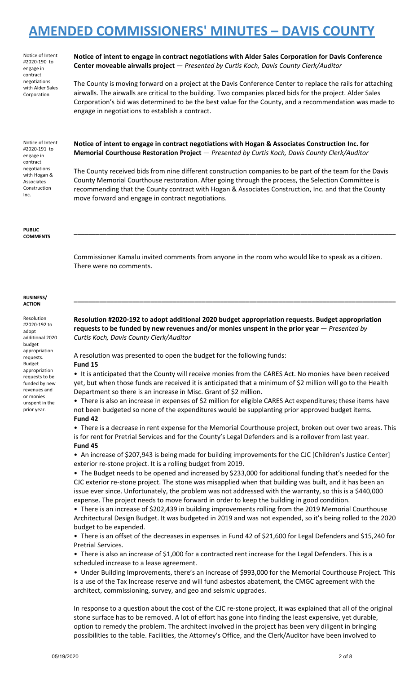Notice of Intent #2020-190 to engage in contract negotiations with Alder Sales Corporation

**Notice of intent to engage in contract negotiations with Alder Sales Corporation for Davis Conference Center moveable airwalls project** — *Presented by Curtis Koch, Davis County Clerk/Auditor*

The County is moving forward on a project at the Davis Conference Center to replace the rails for attaching airwalls. The airwalls are critical to the building. Two companies placed bids for the project. Alder Sales Corporation's bid was determined to be the best value for the County, and a recommendation was made to engage in negotiations to establish a contract.

Notice of Intent #2020-191 to engage in contract negotiations with Hogan & Associates Construction Inc.

**Notice of intent to engage in contract negotiations with Hogan & Associates Construction Inc. for Memorial Courthouse Restoration Project** — *Presented by Curtis Koch, Davis County Clerk/Auditor*

The County received bids from nine different construction companies to be part of the team for the Davis County Memorial Courthouse restoration. After going through the process, the Selection Committee is recommending that the County contract with Hogan & Associates Construction, Inc. and that the County move forward and engage in contract negotiations.

**PUBLIC COMMENTS**

> Commissioner Kamalu invited comments from anyone in the room who would like to speak as a citizen. There were no comments.

**\_\_\_\_\_\_\_\_\_\_\_\_\_\_\_\_\_\_\_\_\_\_\_\_\_\_\_\_\_\_\_\_\_\_\_\_\_\_\_\_\_\_\_\_\_\_\_\_\_\_\_\_\_\_\_\_\_\_\_\_\_\_\_\_\_\_\_\_\_\_\_\_\_\_\_\_\_\_\_\_\_\_\_\_\_\_\_\_**

**\_\_\_\_\_\_\_\_\_\_\_\_\_\_\_\_\_\_\_\_\_\_\_\_\_\_\_\_\_\_\_\_\_\_\_\_\_\_\_\_\_\_\_\_\_\_\_\_\_\_\_\_\_\_\_\_\_\_\_\_\_\_\_\_\_\_\_\_\_\_\_\_\_\_\_\_\_\_\_\_\_\_\_\_\_\_\_\_**

#### **BUSINESS/ ACTION**

Resolution #2020-192 to adopt additional 2020 budget appropriation requests. Budget appropriation requests to be funded by new revenues and or monies unspent in the prior year.

**Resolution #2020-192 to adopt additional 2020 budget appropriation requests. Budget appropriation requests to be funded by new revenues and/or monies unspent in the prior year** — *Presented by Curtis Koch, Davis County Clerk/Auditor*

A resolution was presented to open the budget for the following funds:

### **Fund 15**

• It is anticipated that the County will receive monies from the CARES Act. No monies have been received yet, but when those funds are received it is anticipated that a minimum of \$2 million will go to the Health Department so there is an increase in Misc. Grant of \$2 million.

• There is also an increase in expenses of \$2 million for eligible CARES Act expenditures; these items have not been budgeted so none of the expenditures would be supplanting prior approved budget items. **Fund 42**

• There is a decrease in rent expense for the Memorial Courthouse project, broken out over two areas. This is for rent for Pretrial Services and for the County's Legal Defenders and is a rollover from last year. **Fund 45**

• An increase of \$207,943 is being made for building improvements for the CJC [Children's Justice Center] exterior re-stone project. It is a rolling budget from 2019.

• The Budget needs to be opened and increased by \$233,000 for additional funding that's needed for the CJC exterior re-stone project. The stone was misapplied when that building was built, and it has been an issue ever since. Unfortunately, the problem was not addressed with the warranty, so this is a \$440,000 expense. The project needs to move forward in order to keep the building in good condition.

• There is an increase of \$202,439 in building improvements rolling from the 2019 Memorial Courthouse Architectural Design Budget. It was budgeted in 2019 and was not expended, so it's being rolled to the 2020 budget to be expended.

• There is an offset of the decreases in expenses in Fund 42 of \$21,600 for Legal Defenders and \$15,240 for Pretrial Services.

• There is also an increase of \$1,000 for a contracted rent increase for the Legal Defenders. This is a scheduled increase to a lease agreement.

• Under Building Improvements, there's an increase of \$993,000 for the Memorial Courthouse Project. This is a use of the Tax Increase reserve and will fund asbestos abatement, the CMGC agreement with the architect, commissioning, survey, and geo and seismic upgrades.

In response to a question about the cost of the CJC re-stone project, it was explained that all of the original stone surface has to be removed. A lot of effort has gone into finding the least expensive, yet durable, option to remedy the problem. The architect involved in the project has been very diligent in bringing possibilities to the table. Facilities, the Attorney's Office, and the Clerk/Auditor have been involved to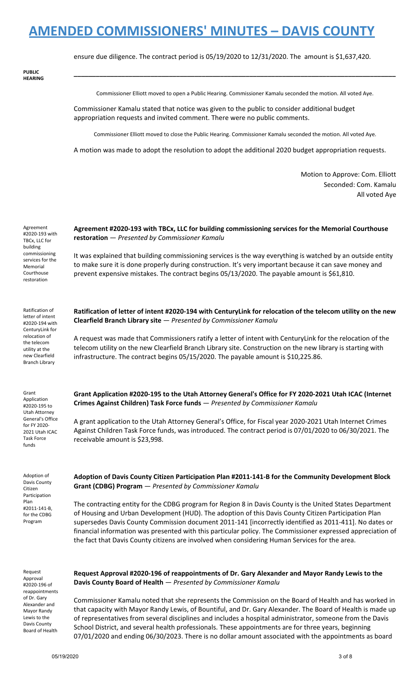ensure due diligence. The contract period is 05/19/2020 to 12/31/2020. The amount is \$1,637,420.

**PUBLIC HEARING**

Commissioner Elliott moved to open a Public Hearing. Commissioner Kamalu seconded the motion. All voted Aye.

**\_\_\_\_\_\_\_\_\_\_\_\_\_\_\_\_\_\_\_\_\_\_\_\_\_\_\_\_\_\_\_\_\_\_\_\_\_\_\_\_\_\_\_\_\_\_\_\_\_\_\_\_\_\_\_\_\_\_\_\_\_\_\_\_\_\_\_\_\_\_\_\_\_\_\_\_\_\_\_\_\_\_\_\_\_\_\_\_**

Commissioner Kamalu stated that notice was given to the public to consider additional budget appropriation requests and invited comment. There were no public comments.

Commissioner Elliott moved to close the Public Hearing. Commissioner Kamalu seconded the motion. All voted Aye.

A motion was made to adopt the resolution to adopt the additional 2020 budget appropriation requests.

Motion to Approve: Com. Elliott Seconded: Com. Kamalu All voted Aye

Agreement #2020-193 with TBCx, LLC for building commissioning services for the Memorial Courthouse restoration

Ratification of letter of intent #2020-194 with CenturyLink for relocation of the telecom utility at the new Clearfield Branch Library

Grant Application #2020-195 to Utah Attorney General's Office for FY 2020- 2021 Utah ICAC Task Force funds

Adoption of Davis County Citizen Participation Plan #2011-141-B, for the CDBG Program

Request Approval #2020-196 of reappointments of Dr. Gary Alexander and Mayor Randy Lewis to the Davis County Board of Health

**Agreement #2020-193 with TBCx, LLC for building commissioning services for the Memorial Courthouse restoration** — *Presented by Commissioner Kamalu*

It was explained that building commissioning services is the way everything is watched by an outside entity to make sure it is done properly during construction. It's very important because it can save money and prevent expensive mistakes. The contract begins 05/13/2020. The payable amount is \$61,810.

Ratification of letter of intent #2020-194 with CenturyLink for relocation of the telecom utility on the new **Clearfield Branch Library site** — *Presented by Commissioner Kamalu*

A request was made that Commissioners ratify a letter of intent with CenturyLink for the relocation of the telecom utility on the new Clearfield Branch Library site. Construction on the new library is starting with infrastructure. The contract begins 05/15/2020. The payable amount is \$10,225.86.

**Grant Application #2020-195 to the Utah Attorney General's Office for FY 2020-2021 Utah ICAC (Internet Crimes Against Children) Task Force funds** — *Presented by Commissioner Kamalu*

A grant application to the Utah Attorney General's Office, for Fiscal year 2020-2021 Utah Internet Crimes Against Children Task Force funds, was introduced. The contract period is 07/01/2020 to 06/30/2021. The receivable amount is \$23,998.

**Adoption of Davis County Citizen Participation Plan #2011-141-B for the Community Development Block Grant (CDBG) Program** — *Presented by Commissioner Kamalu*

The contracting entity for the CDBG program for Region 8 in Davis County is the United States Department of Housing and Urban Development (HUD). The adoption of this Davis County Citizen Participation Plan supersedes Davis County Commission document 2011-141 [incorrectly identified as 2011-411]. No dates or financial information was presented with this particular policy. The Commissioner expressed appreciation of the fact that Davis County citizens are involved when considering Human Services for the area.

**Request Approval #2020-196 of reappointments of Dr. Gary Alexander and Mayor Randy Lewis to the Davis County Board of Health** — *Presented by Commissioner Kamalu*

Commissioner Kamalu noted that she represents the Commission on the Board of Health and has worked in that capacity with Mayor Randy Lewis, of Bountiful, and Dr. Gary Alexander. The Board of Health is made up of representatives from several disciplines and includes a hospital administrator, someone from the Davis School District, and several health professionals. These appointments are for three years, beginning 07/01/2020 and ending 06/30/2023. There is no dollar amount associated with the appointments as board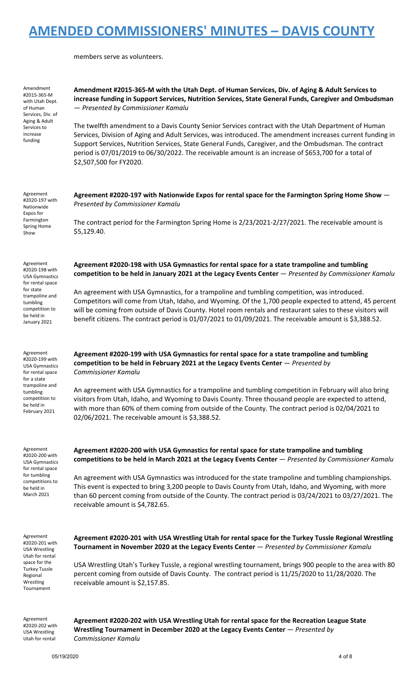members serve as volunteers.

Amendment #2015-365-M with Utah Dept. of Human Services, Div. of Aging & Adult Services to increase funding

#### **Amendment #2015-365-M with the Utah Dept. of Human Services, Div. of Aging & Adult Services to increase funding in Support Services, Nutrition Services, State General Funds, Caregiver and Ombudsman** — *Presented by Commissioner Kamalu*

The twelfth amendment to a Davis County Senior Services contract with the Utah Department of Human Services, Division of Aging and Adult Services, was introduced. The amendment increases current funding in Support Services, Nutrition Services, State General Funds, Caregiver, and the Ombudsman. The contract period is 07/01/2019 to 06/30/2022. The receivable amount is an increase of \$653,700 for a total of \$2,507,500 for FY2020.

Agreement #2020-197 with Nationwide Expos for Farmington Spring Home Show

**Agreement #2020-197 with Nationwide Expos for rental space for the Farmington Spring Home Show** — *Presented by Commissioner Kamalu*

The contract period for the Farmington Spring Home is 2/23/2021-2/27/2021. The receivable amount is \$5,129.40.

**Agreement #2020-198 with USA Gymnastics for rental space for a state trampoline and tumbling**

An agreement with USA Gymnastics, for a trampoline and tumbling competition, was introduced.

**Agreement #2020-199 with USA Gymnastics for rental space for a state trampoline and tumbling**

**competition to be held in February 2021 at the Legacy Events Center** — *Presented by*

**competition to be held in January 2021 at the Legacy Events Center** — *Presented by Commissioner Kamalu*

Competitors will come from Utah, Idaho, and Wyoming. Of the 1,700 people expected to attend, 45 percent will be coming from outside of Davis County. Hotel room rentals and restaurant sales to these visitors will benefit citizens. The contract period is 01/07/2021 to 01/09/2021. The receivable amount is \$3,388.52.

Agreement #2020-198 with USA Gymnastics for rental space for state trampoline and tumbling competition to be held in January 2021

Agreement #2020-199 with USA Gymnastics for rental space for a state trampoline and tumbling competition to be held in February 2021

*Commissioner Kamalu*

02/06/2021. The receivable amount is \$3,388.52.

Agreement #2020-200 with USA Gymnastics for rental space for tumbling competitions to be held in March 2021

**Agreement #2020-200 with USA Gymnastics for rental space for state trampoline and tumbling competitions to be held in March 2021 at the Legacy Events Center** — *Presented by Commissioner Kamalu*

An agreement with USA Gymnastics for a trampoline and tumbling competition in February will also bring visitors from Utah, Idaho, and Wyoming to Davis County. Three thousand people are expected to attend, with more than 60% of them coming from outside of the County. The contract period is 02/04/2021 to

An agreement with USA Gymnastics was introduced for the state trampoline and tumbling championships. This event is expected to bring 3,200 people to Davis County from Utah, Idaho, and Wyoming, with more than 60 percent coming from outside of the County. The contract period is 03/24/2021 to 03/27/2021. The receivable amount is \$4,782.65.

Agreement #2020-201 with USA Wrestling Utah for rental space for the Turkey Tussle Regional Wrestling Tournament

**Agreement #2020-201 with USA Wrestling Utah for rental space for the Turkey Tussle Regional Wrestling Tournament in November 2020 at the Legacy Events Center** — *Presented by Commissioner Kamalu*

USA Wrestling Utah's Turkey Tussle, a regional wrestling tournament, brings 900 people to the area with 80 percent coming from outside of Davis County. The contract period is 11/25/2020 to 11/28/2020. The receivable amount is \$2,157.85.

Agreement #2020-202 with USA Wrestling Utah for rental

**Agreement #2020-202 with USA Wrestling Utah for rental space for the Recreation League State Wrestling Tournament in December 2020 at the Legacy Events Center** — *Presented by Commissioner Kamalu*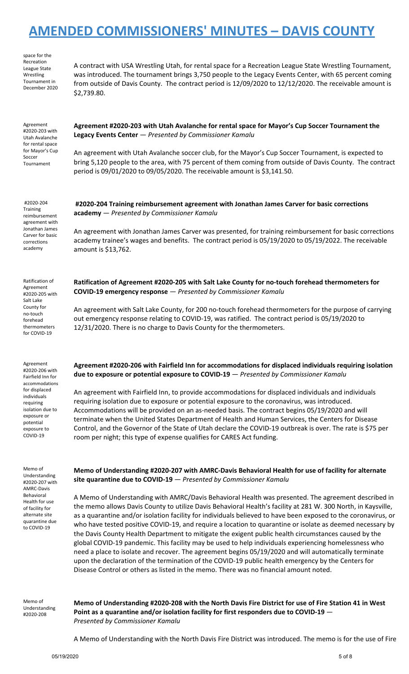space for the Recreation League State Wrestling Tournament in December 2020

A contract with USA Wrestling Utah, for rental space for a Recreation League State Wrestling Tournament, was introduced. The tournament brings 3,750 people to the Legacy Events Center, with 65 percent coming from outside of Davis County. The contract period is 12/09/2020 to 12/12/2020. The receivable amount is \$2,739.80.

Agreement #2020-203 with Utah Avalanche for rental space for Mayor's Cup Soccer Tournament

**Agreement #2020-203 with Utah Avalanche for rental space for Mayor's Cup Soccer Tournament the Legacy Events Center** — *Presented by Commissioner Kamalu*

An agreement with Utah Avalanche soccer club, for the Mayor's Cup Soccer Tournament, is expected to bring 5,120 people to the area, with 75 percent of them coming from outside of Davis County. The contract period is 09/01/2020 to 09/05/2020. The receivable amount is \$3,141.50.

#2020-204 **Training** reimbursement agreement with Jonathan James Carver for basic corrections academy

Ratification of Agreement #2020-205 with Salt Lake County for no-touch forehead thermometers for COVID-19

**#2020-204 Training reimbursement agreement with Jonathan James Carver for basic corrections academy** — *Presented by Commissioner Kamalu*

An agreement with Jonathan James Carver was presented, for training reimbursement for basic corrections academy trainee's wages and benefits. The contract period is 05/19/2020 to 05/19/2022. The receivable amount is \$13,762.

**Ratification of Agreement #2020-205 with Salt Lake County for no-touch forehead thermometers for COVID-19 emergency response** — *Presented by Commissioner Kamalu*

An agreement with Salt Lake County, for 200 no-touch forehead thermometers for the purpose of carrying out emergency response relating to COVID-19, was ratified. The contract period is 05/19/2020 to 12/31/2020. There is no charge to Davis County for the thermometers.

Agreement #2020-206 with Fairfield Inn for accommodations for displaced individuals requiring isolation due to exposure or potential exposure to COVID-19

Memo of Understanding #2020-207 with AMRC-Davis Behavioral Health for use of facility for alternate site quarantine due to COVID-19

**Agreement #2020-206 with Fairfield Inn for accommodations for displaced individuals requiring isolation due to exposure or potential exposure to COVID-19** — *Presented by Commissioner Kamalu*

An agreement with Fairfield Inn, to provide accommodations for displaced individuals and individuals requiring isolation due to exposure or potential exposure to the coronavirus, was introduced. Accommodations will be provided on an as-needed basis. The contract begins 05/19/2020 and will terminate when the United States Department of Health and Human Services, the Centers for Disease Control, and the Governor of the State of Utah declare the COVID-19 outbreak is over. The rate is \$75 per room per night; this type of expense qualifies for CARES Act funding.

**Memo of Understanding #2020-207 with AMRC-Davis Behavioral Health for use of facility for alternate site quarantine due to COVID-19** — *Presented by Commissioner Kamalu*

A Memo of Understanding with AMRC/Davis Behavioral Health was presented. The agreement described in the memo allows Davis County to utilize Davis Behavioral Health's facility at 281 W. 300 North, in Kaysville, as a quarantine and/or isolation facility for individuals believed to have been exposed to the coronavirus, or who have tested positive COVID-19, and require a location to quarantine or isolate as deemed necessary by the Davis County Health Department to mitigate the exigent public health circumstances caused by the global COVID-19 pandemic. This facility may be used to help individuals experiencing homelessness who need a place to isolate and recover. The agreement begins 05/19/2020 and will automatically terminate upon the declaration of the termination of the COVID-19 public health emergency by the Centers for Disease Control or others as listed in the memo. There was no financial amount noted.

Memo of Understanding #2020-208

Memo of Understanding #2020-208 with the North Davis Fire District for use of Fire Station 41 in West **Point as a quarantine and/or isolation facility for first responders due to COVID-19** — *Presented by Commissioner Kamalu*

A Memo of Understanding with the North Davis Fire District was introduced. The memo is for the use of Fire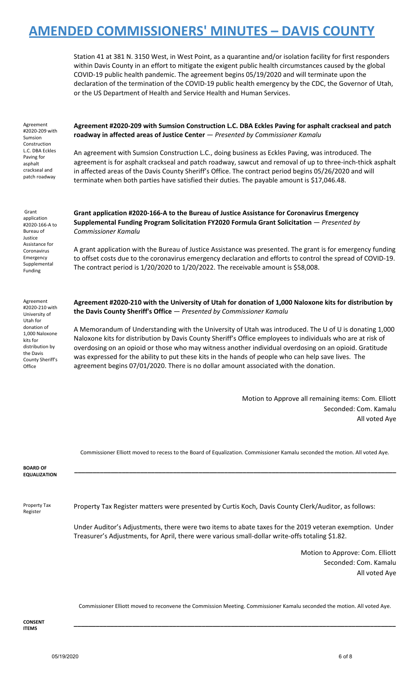Station 41 at 381 N. 3150 West, in West Point, as a quarantine and/or isolation facility for first responders within Davis County in an effort to mitigate the exigent public health circumstances caused by the global COVID-19 public health pandemic. The agreement begins 05/19/2020 and will terminate upon the declaration of the termination of the COVID-19 public health emergency by the CDC, the Governor of Utah, or the US Department of Health and Service Health and Human Services.

| Agreement<br>#2020-209 with   |
|-------------------------------|
| Sumsion                       |
| Construction                  |
| L.C. DBA Eckles<br>Paving for |
| asphalt                       |
| crackseal and                 |
| patch roadway                 |
|                               |

**Agreement #2020-209 with Sumsion Construction L.C. DBA Eckles Paving for asphalt crackseal and patch roadway in affected areas of Justice Center** — *Presented by Commissioner Kamalu*

An agreement with Sumsion Construction L.C., doing business as Eckles Paving, was introduced. The agreement is for asphalt crackseal and patch roadway, sawcut and removal of up to three-inch-thick asphalt in affected areas of the Davis County Sheriff's Office. The contract period begins 05/26/2020 and will terminate when both parties have satisfied their duties. The payable amount is \$17,046.48.

Grant application #2020-166-A to Bureau of Justice Assistance for Coronavirus Emergency Supplemental Funding

Agreement #2020-210 with University of Utah for donation of 1,000 Naloxone kits for distribution by the Davis County Sheriff's **Office** 

**Grant application #2020-166-A to the Bureau of Justice Assistance for Coronavirus Emergency Supplemental Funding Program Solicitation FY2020 Formula Grant Solicitation** — *Presented by Commissioner Kamalu*

A grant application with the Bureau of Justice Assistance was presented. The grant is for emergency funding to offset costs due to the coronavirus emergency declaration and efforts to control the spread of COVID-19. The contract period is  $1/20/2020$  to  $1/20/2022$ . The receivable amount is \$58,008.

**Agreement #2020-210 with the University of Utah for donation of 1,000 Naloxone kits for distribution by the Davis County Sheriff's Office** — *Presented by Commissioner Kamalu*

A Memorandum of Understanding with the University of Utah was introduced. The U of U is donating 1,000 Naloxone kits for distribution by Davis County Sheriff's Office employees to individuals who are at risk of overdosing on an opioid or those who may witness another individual overdosing on an opioid. Gratitude was expressed for the ability to put these kits in the hands of people who can help save lives. The agreement begins 07/01/2020. There is no dollar amount associated with the donation.

> Motion to Approve all remaining items: Com. Elliott Seconded: Com. Kamalu All voted Aye

|                                        | Commissioner Elliott moved to recess to the Board of Equalization. Commissioner Kamalu seconded the motion. All voted Aye.                                                                                |
|----------------------------------------|-----------------------------------------------------------------------------------------------------------------------------------------------------------------------------------------------------------|
| <b>BOARD OF</b><br><b>EQUALIZATION</b> |                                                                                                                                                                                                           |
| Property Tax<br>Register               | Property Tax Register matters were presented by Curtis Koch, Davis County Clerk/Auditor, as follows:                                                                                                      |
|                                        | Under Auditor's Adjustments, there were two items to abate taxes for the 2019 veteran exemption. Under<br>Treasurer's Adjustments, for April, there were various small-dollar write-offs totaling \$1.82. |
|                                        | Motion to Approve: Com. Elliott                                                                                                                                                                           |

Seconded: Com. Kamalu All voted Aye

Commissioner Elliott moved to reconvene the Commission Meeting. Commissioner Kamalu seconded the motion. All voted Aye.

**\_\_\_\_\_\_\_\_\_\_\_\_\_\_\_\_\_\_\_\_\_\_\_\_\_\_\_\_\_\_\_\_\_\_\_\_\_\_\_\_\_\_\_\_\_\_\_\_\_\_\_\_\_\_\_\_\_\_\_\_\_\_\_\_\_\_\_\_\_\_\_\_\_\_\_\_\_\_\_\_\_\_\_\_\_\_\_\_**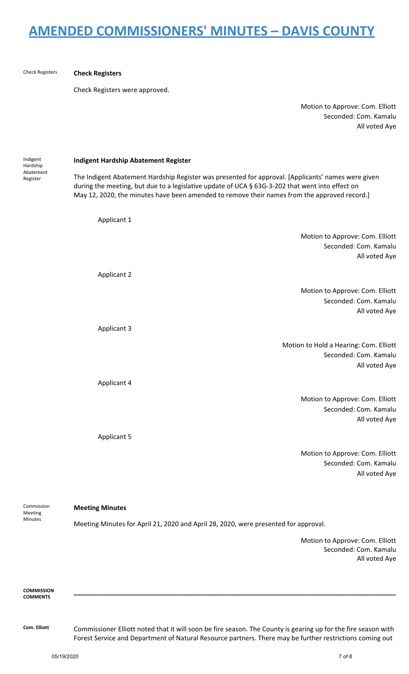Check Registers **Check Registers** Check Registers were approved. Motion to Approve: Com. Elliott Seconded: Com. Kamalu Indigent Hardship Abatement Register **Indigent Hardship Abatement Register** The Indigent Abatement Hardship Register was presented for approval. [Applicants' names were given during the meeting, but due to a legislative update of UCA § 63G-3-202 that went into effect on May 12, 2020, the minutes have been amended to remove their names from the approved record.] Applicant 1 Motion to Approve: Com. Elliott Seconded: Com. Kamalu Applicant 2 Motion to Approve: Com. Elliott Seconded: Com. Kamalu Applicant 3 Motion to Hold a Hearing: Com. Elliott Seconded: Com. Kamalu Applicant 4 Motion to Approve: Com. Elliott Seconded: Com. Kamalu Applicant 5 Motion to Approve: Com. Elliott Seconded: Com. Kamalu Commission

Meeting Minutes

### **Meeting Minutes**

Meeting Minutes for April 21, 2020 and April 28, 2020, were presented for approval.

Motion to Approve: Com. Elliott Seconded: Com. Kamalu All voted Aye

All voted Aye

All voted Aye

All voted Aye

All voted Aye

All voted Aye

All voted Aye

**COMMISSION COMMENTS**

**Com. Elliott** Commissioner Elliott noted that it will soon be fire season. The County is gearing up for the fire season with Forest Service and Department of Natural Resource partners. There may be further restrictions coming out

**\_\_\_\_\_\_\_\_\_\_\_\_\_\_\_\_\_\_\_\_\_\_\_\_\_\_\_\_\_\_\_\_\_\_\_\_\_\_\_\_\_\_\_\_\_\_\_\_\_\_\_\_\_\_\_\_\_\_\_\_\_\_\_\_\_\_\_\_\_\_\_\_\_\_\_\_\_\_\_\_\_\_\_\_\_\_\_\_**